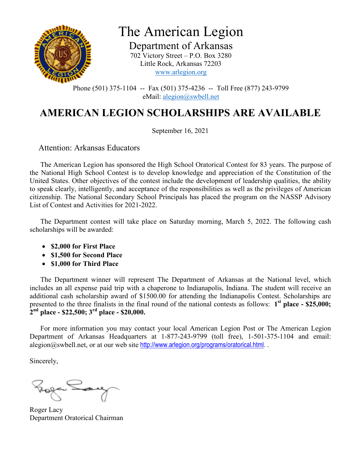

Department of Arkansas 702 Victory Street – P.O. Box 3280 Little Rock, Arkansas 72203 www.arlegion.org

Phone (501) 375-1104 -- Fax (501) 375-4236 -- Toll Free (877) 243-9799 eMail: alegion@swbell.net

### **AMERICAN LEGION SCHOLARSHIPS ARE AVAILABLE**

September 16, 2021

Attention: Arkansas Educators

 The American Legion has sponsored the High School Oratorical Contest for 83 years. The purpose of the National High School Contest is to develop knowledge and appreciation of the Constitution of the United States. Other objectives of the contest include the development of leadership qualities, the ability to speak clearly, intelligently, and acceptance of the responsibilities as well as the privileges of American citizenship. The National Secondary School Principals has placed the program on the NASSP Advisory List of Contest and Activities for 2021-2022.

 The Department contest will take place on Saturday morning, March 5, 2022. The following cash scholarships will be awarded:

- **\$2,000 for First Place**
- **\$1,500 for Second Place**
- **\$1,000 for Third Place**

 The Department winner will represent The Department of Arkansas at the National level, which includes an all expense paid trip with a chaperone to Indianapolis, Indiana. The student will receive an additional cash scholarship award of \$1500.00 for attending the Indianapolis Contest. Scholarships are presented to the three finalists in the final round of the national contests as follows: 1<sup>st</sup> place - \$25,000; **2 nd place - \$22,500; 3rd place - \$20,000.**

 For more information you may contact your local American Legion Post or The American Legion Department of Arkansas Headquarters at 1-877-243-9799 (toll free), 1-501-375-1104 and email: alegion@swbell.net, or at our web site http://www.arlegion.org/programs/oratorical.html...

Sincerely,

Roger Lacy Department Oratorical Chairman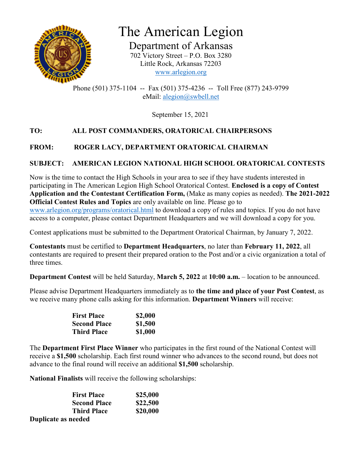

Department of Arkansas 702 Victory Street – P.O. Box 3280 Little Rock, Arkansas 72203 www.arlegion.org

Phone (501) 375-1104 -- Fax (501) 375-4236 -- Toll Free (877) 243-9799 eMail: alegion@swbell.net

September 15, 2021

#### **TO: ALL POST COMMANDERS, ORATORICAL CHAIRPERSONS**

#### **FROM: ROGER LACY, DEPARTMENT ORATORICAL CHAIRMAN**

#### **SUBJECT: AMERICAN LEGION NATIONAL HIGH SCHOOL ORATORICAL CONTESTS**

Now is the time to contact the High Schools in your area to see if they have students interested in participating in The American Legion High School Oratorical Contest. **Enclosed is a copy of Contest Application and the Contestant Certification Form,** (Make as many copies as needed). **The 2021-2022 Official Contest Rules and Topics** are only available on line. Please go to www.arlegion.org/programs/oratorical.html to download a copy of rules and topics. If you do not have access to a computer, please contact Department Headquarters and we will download a copy for you.

Contest applications must be submitted to the Department Oratorical Chairman, by January 7, 2022.

**Contestants** must be certified to **Department Headquarters**, no later than **February 11, 2022**, all contestants are required to present their prepared oration to the Post and/or a civic organization a total of three times.

**Department Contest** will be held Saturday, **March 5, 2022** at **10:00 a.m.** – location to be announced.

Please advise Department Headquarters immediately as to **the time and place of your Post Contest**, as we receive many phone calls asking for this information. **Department Winners** will receive:

| <b>First Place</b>  | \$2,000 |
|---------------------|---------|
| <b>Second Place</b> | \$1,500 |
| <b>Third Place</b>  | \$1,000 |

The **Department First Place Winner** who participates in the first round of the National Contest will receive a **\$1,500** scholarship. Each first round winner who advances to the second round, but does not advance to the final round will receive an additional **\$1,500** scholarship.

**National Finalists** will receive the following scholarships:

| <b>First Place</b>  | \$25,000 |  |
|---------------------|----------|--|
| <b>Second Place</b> | \$22,500 |  |
| <b>Third Place</b>  | \$20,000 |  |
| Duplicate as needed |          |  |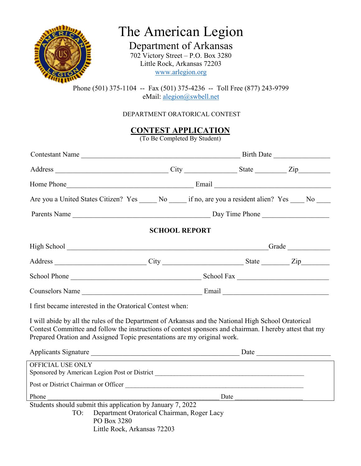

Department of Arkansas 702 Victory Street – P.O. Box 3280 Little Rock, Arkansas 72203 www.arlegion.org

Phone (501) 375-1104 -- Fax (501) 375-4236 -- Toll Free (877) 243-9799 eMail: alegion@swbell.net

#### DEPARTMENT ORATORICAL CONTEST

**CONTEST APPLICATION**

(To Be Completed By Student)

|                                                                                                                                                                                                                                                                                           | Are you a United States Citizen? Yes ______ No ______ if no, are you a resident alien? Yes _____ No _____                                                                                                                            |                      |  |  |
|-------------------------------------------------------------------------------------------------------------------------------------------------------------------------------------------------------------------------------------------------------------------------------------------|--------------------------------------------------------------------------------------------------------------------------------------------------------------------------------------------------------------------------------------|----------------------|--|--|
|                                                                                                                                                                                                                                                                                           |                                                                                                                                                                                                                                      |                      |  |  |
|                                                                                                                                                                                                                                                                                           |                                                                                                                                                                                                                                      | <b>SCHOOL REPORT</b> |  |  |
|                                                                                                                                                                                                                                                                                           | High School Contact Contact Contact Contact Contact Contact Contact Contact Contact Contact Contact Contact Contact Contact Contact Contact Contact Contact Contact Contact Contact Contact Contact Contact Contact Contact Co       |                      |  |  |
|                                                                                                                                                                                                                                                                                           |                                                                                                                                                                                                                                      |                      |  |  |
|                                                                                                                                                                                                                                                                                           |                                                                                                                                                                                                                                      |                      |  |  |
|                                                                                                                                                                                                                                                                                           |                                                                                                                                                                                                                                      |                      |  |  |
|                                                                                                                                                                                                                                                                                           | I first became interested in the Oratorical Contest when:                                                                                                                                                                            |                      |  |  |
| I will abide by all the rules of the Department of Arkansas and the National High School Oratorical<br>Contest Committee and follow the instructions of contest sponsors and chairman. I hereby attest that my<br>Prepared Oration and Assigned Topic presentations are my original work. |                                                                                                                                                                                                                                      |                      |  |  |
|                                                                                                                                                                                                                                                                                           | Applicants Signature <u>example and the set of the set of the set of the set of the set of the set of the set of the set of the set of the set of the set of the set of the set of the set of the set of the set of the set of t</u> |                      |  |  |
| OFFICIAL USE ONLY                                                                                                                                                                                                                                                                         | <u> 1980 - Johann Barbara, martin amerikan basal dan berasal dalam basal dan berasal dan berasal dan berasal dan</u><br>Sponsored by American Legion Post or District ___________________________________                            |                      |  |  |
|                                                                                                                                                                                                                                                                                           |                                                                                                                                                                                                                                      |                      |  |  |
| Phone                                                                                                                                                                                                                                                                                     |                                                                                                                                                                                                                                      |                      |  |  |
| TO:                                                                                                                                                                                                                                                                                       | Students should submit this application by January 7, 2022<br>Department Oratorical Chairman, Roger Lacy<br>PO Box 3280<br>Little Rock, Arkansas 72203                                                                               |                      |  |  |